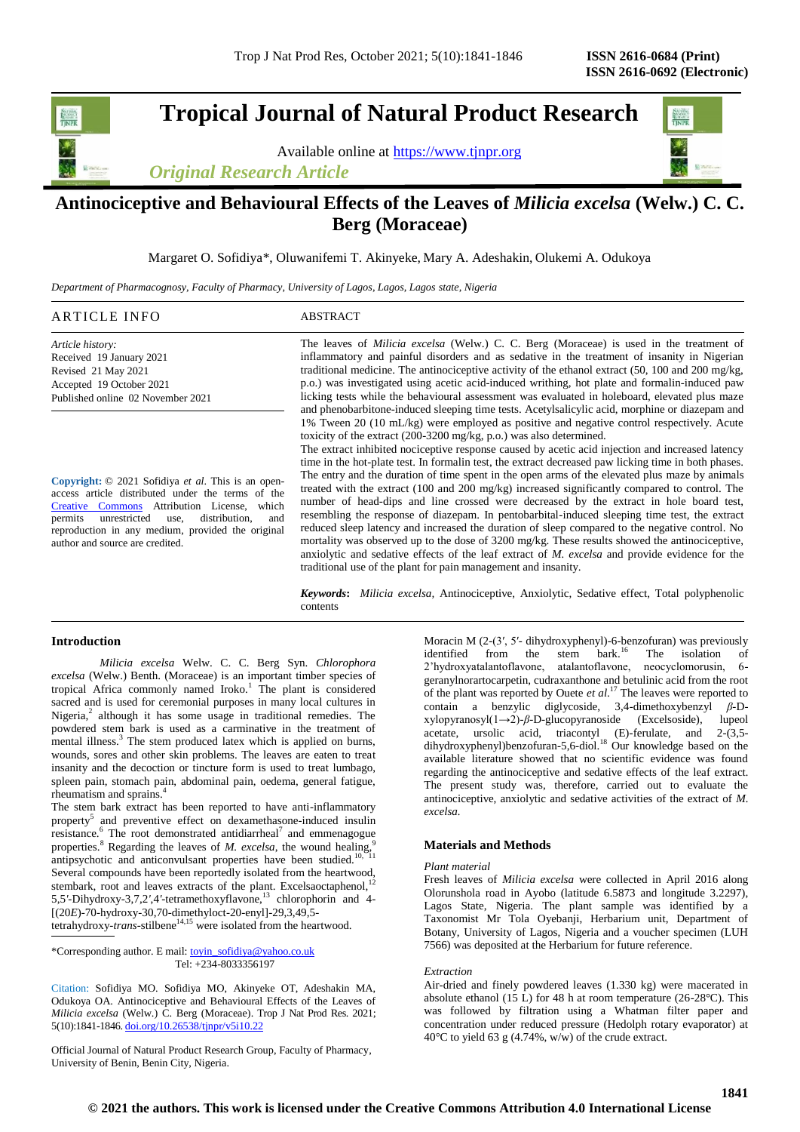**Tropical Journal of Natural Product Research**

Available online at [https://www.tjnpr.org](https://www.tjnpr.org/)

*Original Research Article*



# **Antinociceptive and Behavioural Effects of the Leaves of** *Milicia excelsa* **(Welw.) C. C. Berg (Moraceae)**

Margaret O. Sofidiya\*, Oluwanifemi T. Akinyeke, Mary A. Adeshakin, Olukemi A. Odukoya

*Department of Pharmacognosy, Faculty of Pharmacy, University of Lagos, Lagos, Lagos state, Nigeria*

| ARTICLE INFO                      | ABSTRACT                                                                                                               |
|-----------------------------------|------------------------------------------------------------------------------------------------------------------------|
| Article history:                  | The leaves of <i>Milicia excelsa</i> (Welw.) C. C. Berg (Moraceae) is used in the treatment of                         |
| Received 19 January 2021          | inflammatory and painful disorders and as sedative in the treatment of insanity in Nigerian                            |
| Revised 21 May 2021               | traditional medicine. The antinociceptive activity of the ethanol extract $(50, 100 \text{ and } 200 \text{ mg/kg})$ , |
| Accepted 19 October 2021          | p.o.) was investigated using acetic acid-induced writing, hot plate and formal in-induced paw                          |
| Published online 02 November 2021 | licking tests while the behavioural assessment was evaluated in holeboard, elevated plus maze                          |
|                                   | and phenobarbitone-induced sleeping time tests. Acetylsalicylic acid, morphine or diazepam and                         |
|                                   | $1\%$ Tween 20 (10 mL/kg) were employed as positive and negative control respectively. Acute                           |

**Copyright:** © 2021 Sofidiya *et al*. This is an openaccess article distributed under the terms of the [Creative Commons](https://creativecommons.org/licenses/by/4.0/) Attribution License, which permits unrestricted use, distribution, and reproduction in any medium, provided the original author and source are credited.

1% Tween 20 (10 mL/kg) were employed as positive and negative control respectively. Acute toxicity of the extract (200-3200 mg/kg, p.o.) was also determined. The extract inhibited nociceptive response caused by acetic acid injection and increased latency

time in the hot-plate test. In formalin test, the extract decreased paw licking time in both phases. The entry and the duration of time spent in the open arms of the elevated plus maze by animals treated with the extract (100 and 200 mg/kg) increased significantly compared to control. The number of head-dips and line crossed were decreased by the extract in hole board test, resembling the response of diazepam. In pentobarbital-induced sleeping time test, the extract reduced sleep latency and increased the duration of sleep compared to the negative control. No mortality was observed up to the dose of 3200 mg/kg. These results showed the antinociceptive, anxiolytic and sedative effects of the leaf extract of *M. excelsa* and provide evidence for the traditional use of the plant for pain management and insanity.

*Keywords***:** *Milicia excelsa,* Antinociceptive, Anxiolytic, Sedative effect, Total polyphenolic contents

# **Introduction**

*Milicia excelsa* Welw. C. C. Berg Syn. *Chlorophora excelsa* (Welw.) Benth. (Moraceae) is an important timber species of tropical Africa commonly named  $I$ roko.<sup>1</sup> The plant is considered sacred and is used for ceremonial purposes in many local cultures in Nigeria,<sup>2</sup> although it has some usage in traditional remedies. The powdered stem bark is used as a carminative in the treatment of mental illness.<sup>3</sup> The stem produced latex which is applied on burns, wounds, sores and other skin problems. The leaves are eaten to treat insanity and the decoction or tincture form is used to treat lumbago, spleen pain, stomach pain, abdominal pain, oedema, general fatigue, rheumatism and sprains.<sup>4</sup>

The stem bark extract has been reported to have anti-inflammatory property<sup>5</sup> and preventive effect on dexamethasone-induced insulin resistance. $6$  The root demonstrated antidiarrheal<sup>7</sup> and emmenagogue properties.<sup>8</sup> Regarding the leaves of *M. excelsa*, the wound healing,<sup>9</sup> antipsychotic and anticonvulsant properties have been studied.<sup>10, 11</sup> Several compounds have been reportedly isolated from the heartwood, stembark, root and leaves extracts of the plant. Excelsaoctaphenol,<sup>12</sup> 5,5*'*-Dihydroxy-3,7,2*'*,4*'*-tetramethoxyflavone,<sup>13</sup> chlorophorin and 4- [(20*E*)-70-hydroxy-30,70-dimethyloct-20-enyl]-29,3,49,5 tetrahydroxy-*trans*-stilbene<sup>14,15</sup> were isolated from the heartwood.

\*Corresponding author. E mail[: toyin\\_sofidiya@yahoo.co.uk](mailto:toyin_sofidiya@yahoo.co.uk)

Tel: +234-8033356197

Citation: Sofidiya MO. Sofidiya MO, Akinyeke OT, Adeshakin MA, Odukoya OA. Antinociceptive and Behavioural Effects of the Leaves of *Milicia excelsa* (Welw.) C. Berg (Moraceae). Trop J Nat Prod Res. 2021; 5(10):1841-1846. [doi.org/10.26538/tjnpr/v5i10.2](http://www.doi.org/10.26538/tjnpr/v1i4.5)2

Official Journal of Natural Product Research Group, Faculty of Pharmacy, University of Benin, Benin City, Nigeria.

Moracin M (2-(3′, 5′- dihydroxyphenyl)-6-benzofuran) was previously identified from the stem bark.<sup>16</sup> The isolation of 2'hydroxyatalantoflavone, atalantoflavone, neocyclomorusin, 6 geranylnorartocarpetin, cudraxanthone and betulinic acid from the root of the plant was reported by Ouete *et al*. <sup>17</sup> The leaves were reported to contain a benzylic diglycoside, 3,4-dimethoxybenzyl *β*-Dxylopyranosyl(1→2)-*β*-D-glucopyranoside (Excelsoside), lupeol acetate, ursolic acid, triacontyl (E)-ferulate, and 2-(3,5 dihydroxyphenyl)benzofuran-5,6-diol.<sup>18</sup> Our knowledge based on the available literature showed that no scientific evidence was found regarding the antinociceptive and sedative effects of the leaf extract*.*  The present study was, therefore, carried out to evaluate the antinociceptive, anxiolytic and sedative activities of the extract of *M. excelsa.*

# **Materials and Methods**

### *Plant material*

Fresh leaves of *Milicia excelsa* were collected in April 2016 along Olorunshola road in Ayobo (latitude 6.5873 and longitude 3.2297), Lagos State, Nigeria. The plant sample was identified by a Taxonomist Mr Tola Oyebanji, Herbarium unit, Department of Botany, University of Lagos, Nigeria and a voucher specimen (LUH 7566) was deposited at the Herbarium for future reference.

### *Extraction*

Air-dried and finely powdered leaves (1.330 kg) were macerated in absolute ethanol (15 L) for 48 h at room temperature (26-28°C). This was followed by filtration using a Whatman filter paper and concentration under reduced pressure (Hedolph rotary evaporator) at 40°C to yield 63 g (4.74%, w/w) of the crude extract.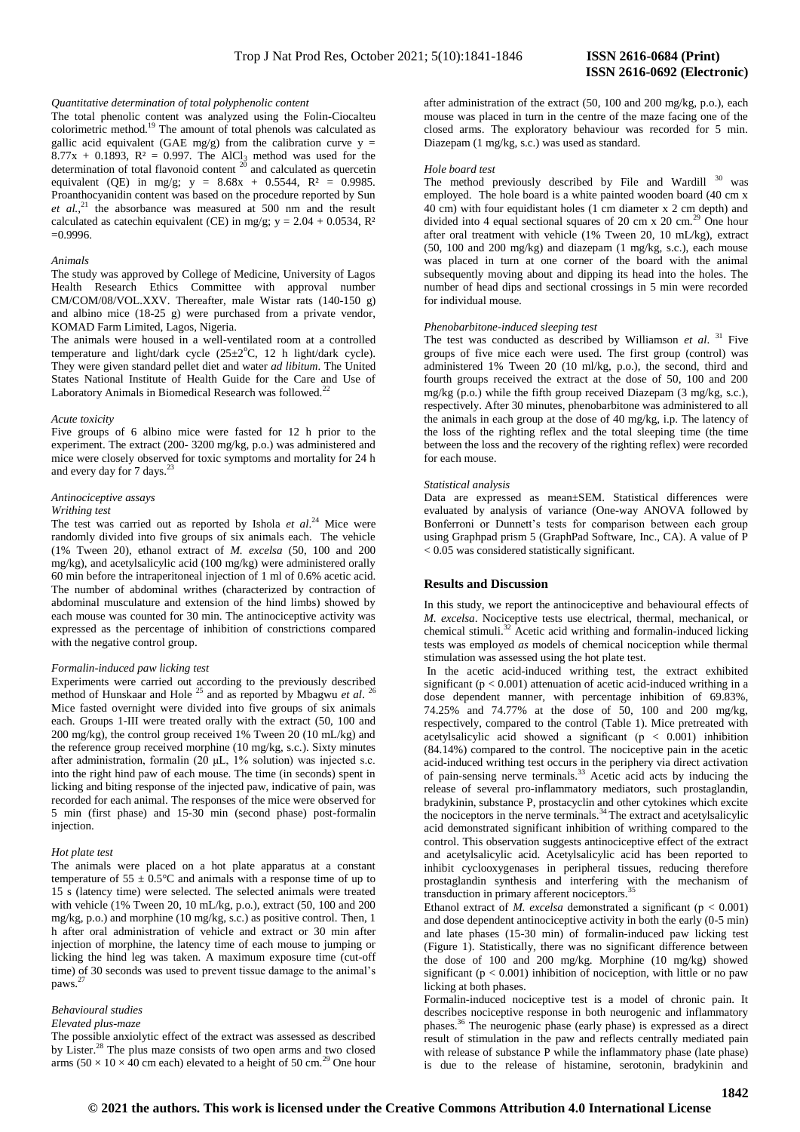### *Quantitative determination of total polyphenolic content*

The total phenolic content was analyzed using the Folin-Ciocalteu colorimetric method.<sup>19</sup> The amount of total phenols was calculated as gallic acid equivalent (GAE mg/g) from the calibration curve  $y =$ 8.77x + 0.1893,  $R^2 = 0.997$ . The AlCl<sub>3</sub> method was used for the determination of total flavonoid content  $2\overline{0}$  and calculated as quercetin equivalent (QE) in mg/g;  $y = 8.68x + 0.5544$ ,  $R^2 = 0.9985$ . Proanthocyanidin content was based on the procedure reported by Sun *et al.,*<sup>21</sup> the absorbance was measured at 500 nm and the result calculated as catechin equivalent (CE) in mg/g;  $y = 2.04 + 0.0534$ ,  $R^2$  $=0.9996$ .

#### *Animals*

The study was approved by College of Medicine, University of Lagos Health Research Ethics Committee with approval number CM/COM/08/VOL.XXV. Thereafter, male Wistar rats (140-150 g) and albino mice (18-25 g) were purchased from a private vendor, KOMAD Farm Limited, Lagos, Nigeria.

The animals were housed in a well-ventilated room at a controlled temperature and light/dark cycle  $(25\pm2^{\circ}C, 12 \text{ h light/dark cycle}).$ They were given standard pellet diet and water *ad libitum*. The United States National Institute of Health Guide for the Care and Use of Laboratory Animals in Biomedical Research was followed.<sup>22</sup>

#### *Acute toxicity*

Five groups of 6 albino mice were fasted for 12 h prior to the experiment. The extract (200- 3200 mg/kg, p.o.) was administered and mice were closely observed for toxic symptoms and mortality for 24 h and every day for 7 days.<sup>23</sup>

#### *Antinociceptive assays*

#### *Writhing test*

The test was carried out as reported by Ishola *et al*. <sup>24</sup> Mice were randomly divided into five groups of six animals each. The vehicle (1% Tween 20), ethanol extract of *M. excelsa* (50, 100 and 200 mg/kg), and acetylsalicylic acid (100 mg/kg) were administered orally 60 min before the intraperitoneal injection of 1 ml of 0.6% acetic acid. The number of abdominal writhes (characterized by contraction of abdominal musculature and extension of the hind limbs) showed by each mouse was counted for 30 min. The antinociceptive activity was expressed as the percentage of inhibition of constrictions compared with the negative control group.

## *Formalin-induced paw licking test*

Experiments were carried out according to the previously described method of Hunskaar and Hole<sup>25</sup> and as reported by Mbagwu et al.<sup>26</sup> Mice fasted overnight were divided into five groups of six animals each. Groups 1-III were treated orally with the extract (50, 100 and 200 mg/kg), the control group received 1% Tween 20 (10 mL/kg) and the reference group received morphine (10 mg/kg, s.c.). Sixty minutes after administration, formalin (20 μL, 1% solution) was injected s.c. into the right hind paw of each mouse. The time (in seconds) spent in licking and biting response of the injected paw, indicative of pain, was recorded for each animal. The responses of the mice were observed for 5 min (first phase) and 15-30 min (second phase) post-formalin injection.

# *Hot plate test*

The animals were placed on a hot plate apparatus at a constant temperature of  $55 \pm 0.5^{\circ}$ C and animals with a response time of up to 15 s (latency time) were selected. The selected animals were treated with vehicle (1% Tween 20, 10 mL/kg, p.o.), extract (50, 100 and 200 mg/kg, p.o.) and morphine (10 mg/kg, s.c.) as positive control. Then, 1 h after oral administration of vehicle and extract or 30 min after injection of morphine, the latency time of each mouse to jumping or licking the hind leg was taken. A maximum exposure time (cut-off time) of 30 seconds was used to prevent tissue damage to the animal's paws. 27

## *Behavioural studies*

# *Elevated plus-maze*

The possible anxiolytic effect of the extract was assessed as described by Lister.<sup>28</sup> The plus maze consists of two open arms and two closed arms ( $50 \times 10 \times 40$  cm each) elevated to a height of 50 cm.<sup>29</sup> One hour after administration of the extract (50, 100 and 200 mg/kg, p.o.), each mouse was placed in turn in the centre of the maze facing one of the closed arms. The exploratory behaviour was recorded for 5 min. Diazepam (1 mg/kg, s.c.) was used as standard.

### *Hole board test*

The method previously described by File and Wardill <sup>30</sup> was employed. The hole board is a white painted wooden board (40 cm x 40 cm) with four equidistant holes (1 cm diameter x 2 cm depth) and divided into 4 equal sectional squares of 20 cm  $x$  20 cm.<sup>29</sup> One hour after oral treatment with vehicle (1% Tween 20, 10 mL/kg), extract (50, 100 and 200 mg/kg) and diazepam (1 mg/kg, s.c.), each mouse was placed in turn at one corner of the board with the animal subsequently moving about and dipping its head into the holes. The number of head dips and sectional crossings in 5 min were recorded for individual mouse.

#### *Phenobarbitone-induced sleeping test*

The test was conducted as described by Williamson *et al*. <sup>31</sup> Five groups of five mice each were used. The first group (control) was administered 1% Tween 20 (10 ml/kg, p.o.), the second, third and fourth groups received the extract at the dose of 50, 100 and 200 mg/kg (p.o*.*) while the fifth group received Diazepam (3 mg/kg, s.c.), respectively. After 30 minutes, phenobarbitone was administered to all the animals in each group at the dose of 40 mg/kg, i.p. The latency of the loss of the righting reflex and the total sleeping time (the time between the loss and the recovery of the righting reflex) were recorded for each mouse.

#### *Statistical analysis*

Data are expressed as mean±SEM. Statistical differences were evaluated by analysis of variance (One-way ANOVA followed by Bonferroni or Dunnett's tests for comparison between each group using Graphpad prism 5 (GraphPad Software, Inc., CA). A value of P < 0.05 was considered statistically significant.

## **Results and Discussion**

In this study, we report the antinociceptive and behavioural effects of *M. excelsa*. Nociceptive tests use electrical, thermal, mechanical, or chemical stimuli.<sup>32</sup> Acetic acid writhing and formalin-induced licking tests was employed *as* models of chemical nociception while thermal stimulation was assessed using the hot plate test.

In the acetic acid-induced writhing test, the extract exhibited significant ( $p < 0.001$ ) attenuation of acetic acid-induced writhing in a dose dependent manner, with percentage inhibition of 69.83%, 74.25% and 74.77% at the dose of 50, 100 and 200 mg/kg, respectively, compared to the control (Table 1). Mice pretreated with acetylsalicylic acid showed a significant ( $p < 0.001$ ) inhibition (84.14%) compared to the control. The nociceptive pain in the acetic acid-induced writhing test occurs in the periphery via direct activation of pain-sensing nerve terminals.<sup>33</sup> Acetic acid acts by inducing the release of several pro-inflammatory mediators, such prostaglandin, bradykinin, substance P, prostacyclin and other cytokines which excite the nociceptors in the nerve terminals.<sup>34</sup> The extract and acetylsalicylic acid demonstrated significant inhibition of writhing compared to the control. This observation suggests antinociceptive effect of the extract and acetylsalicylic acid. Acetylsalicylic acid has been reported to inhibit cyclooxygenases in peripheral tissues, reducing therefore prostaglandin synthesis and interfering with the mechanism of transduction in primary afferent nociceptors.<sup>35</sup>

Ethanol extract of *M. excelsa* demonstrated a significant ( $p < 0.001$ ) and dose dependent antinociceptive activity in both the early (0-5 min) and late phases (15-30 min) of formalin-induced paw licking test (Figure 1). Statistically, there was no significant difference between the dose of 100 and 200 mg/kg. Morphine (10 mg/kg) showed significant ( $p < 0.001$ ) inhibition of nociception, with little or no paw licking at both phases.

Formalin-induced nociceptive test is a model of chronic pain. It describes nociceptive response in both neurogenic and inflammatory phases.<sup>36</sup> The neurogenic phase (early phase) is expressed as a direct result of stimulation in the paw and reflects centrally mediated pain with release of substance P while the inflammatory phase (late phase) is due to the release of histamine, serotonin, bradykinin and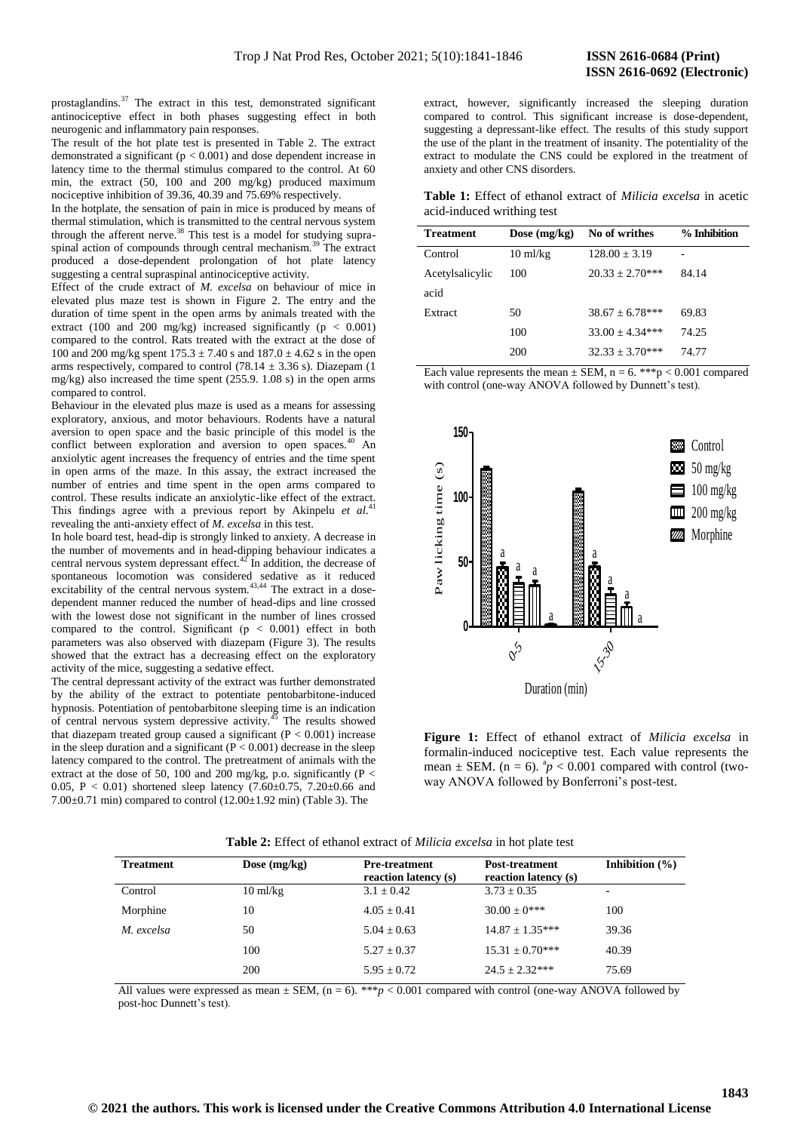prostaglandins.<sup>37</sup> The extract in this test, demonstrated significant antinociceptive effect in both phases suggesting effect in both neurogenic and inflammatory pain responses.

The result of the hot plate test is presented in Table 2. The extract demonstrated a significant ( $p < 0.001$ ) and dose dependent increase in latency time to the thermal stimulus compared to the control. At 60 min, the extract (50, 100 and 200 mg/kg) produced maximum nociceptive inhibition of 39.36, 40.39 and 75.69% respectively.

In the hotplate, the sensation of pain in mice is produced by means of thermal stimulation, which is transmitted to the central nervous system through the afferent nerve.<sup>38</sup> This test is a model for studying supraspinal action of compounds through central mechanism.<sup>39</sup> The extract produced a dose-dependent prolongation of hot plate latency suggesting a central supraspinal antinociceptive activity.

Effect of the crude extract of *M. excelsa* on behaviour of mice in elevated plus maze test is shown in Figure 2. The entry and the duration of time spent in the open arms by animals treated with the extract (100 and 200 mg/kg) increased significantly ( $p < 0.001$ ) compared to the control. Rats treated with the extract at the dose of 100 and 200 mg/kg spent  $175.3 \pm 7.40$  s and  $187.0 \pm 4.62$  s in the open arms respectively, compared to control (78.14  $\pm$  3.36 s). Diazepam (1) mg/kg) also increased the time spent (255.9. 1.08 s) in the open arms compared to control.

Behaviour in the elevated plus maze is used as a means for assessing exploratory, anxious, and motor behaviours. Rodents have a natural aversion to open space and the basic principle of this model is the conflict between exploration and aversion to open spaces. $40$  An anxiolytic agent increases the frequency of entries and the time spent in open arms of the maze. In this assay, the extract increased the number of entries and time spent in the open arms compared to control. These results indicate an anxiolytic-like effect of the extract. This findings agree with a previous report by Akinpelu et al.<sup>41</sup> revealing the anti-anxiety effect of *M. excelsa* in this test.

In hole board test, head-dip is strongly linked to anxiety. A decrease in the number of movements and in head-dipping behaviour indicates a central nervous system depressant effect. $42$  In addition, the decrease of spontaneous locomotion was considered sedative as it reduced excitability of the central nervous system. $43,44$  The extract in a dosedependent manner reduced the number of head-dips and line crossed with the lowest dose not significant in the number of lines crossed compared to the control. Significant ( $p < 0.001$ ) effect in both parameters was also observed with diazepam (Figure 3). The results showed that the extract has a decreasing effect on the exploratory activity of the mice, suggesting a sedative effect.

The central depressant activity of the extract was further demonstrated by the ability of the extract to potentiate pentobarbitone-induced hypnosis. Potentiation of pentobarbitone sleeping time is an indication of central nervous system depressive activity. $45$  The results showed that diazepam treated group caused a significant  $(P < 0.001)$  increase in the sleep duration and a significant  $(P < 0.001)$  decrease in the sleep latency compared to the control. The pretreatment of animals with the extract at the dose of 50, 100 and 200 mg/kg, p.o. significantly (P  $\lt$ 0.05, P < 0.01) shortened sleep latency (7.60±0.75, 7.20±0.66 and 7.00 $\pm$ 0.71 min) compared to control (12.00 $\pm$ 1.92 min) (Table 3). The

extract, however, significantly increased the sleeping duration compared to control. This significant increase is dose-dependent, suggesting a depressant-like effect. The results of this study support the use of the plant in the treatment of insanity. The potentiality of the extract to modulate the CNS could be explored in the treatment of anxiety and other CNS disorders.

**Table 1:** Effect of ethanol extract of *Milicia excelsa* in acetic acid-induced writhing test

| <b>Treatment</b> | Dose $(mg/kg)$     | No of writhes       | % Inhibition |
|------------------|--------------------|---------------------|--------------|
| Control          | $10 \text{ ml/kg}$ | $128.00 + 3.19$     |              |
| Acetylsalicylic  | 100                | $20.33 + 2.70***$   | 84.14        |
| acid             |                    |                     |              |
| Extract          | 50                 | $38.67 + 6.78***$   | 69.83        |
|                  | 100                | $33.00 \pm 4.34***$ | 74.25        |
|                  | 200                | $32.33 + 3.70***$   | 74.77        |

Each value represents the mean  $\pm$  SEM, n = 6. \*\*\*p < 0.001 compared with control (one-way ANOVA followed by Dunnett's test).



**Figure 1:** Effect of ethanol extract of *Milicia excelsa* in formalin-induced nociceptive test. Each value represents the mean  $\pm$  SEM. (n = 6).  $\frac{a}{p}$  < 0.001 compared with control (twoway ANOVA followed by Bonferroni's post-test.

| <b>Treatment</b> | Dose $(mg/kg)$     | <b>Pre-treatment</b><br>reaction latency (s) | <b>Post-treatment</b><br>reaction latency (s) | Inhibition $(\% )$ |
|------------------|--------------------|----------------------------------------------|-----------------------------------------------|--------------------|
| Control          | $10 \text{ ml/kg}$ | $3.1 \pm 0.42$                               | $3.73 \pm 0.35$                               | ۰                  |
| Morphine         | 10                 | $4.05 + 0.41$                                | $30.00 + 0***$                                | 100                |
| M. excelsa       | 50                 | $5.04 + 0.63$                                | $14.87 \pm 1.35***$                           | 39.36              |
|                  | 100                | $5.27 \pm 0.37$                              | $15.31 \pm 0.70***$                           | 40.39              |
|                  | 200                | $5.95 + 0.72$                                | $24.5 + 2.32***$                              | 75.69              |

**Table 2:** Effect of ethanol extract of *Milicia excelsa* in hot plate test

All values were expressed as mean  $\pm$  SEM, (n = 6). \*\*\* $p < 0.001$  compared with control (one-way ANOVA followed by post-hoc Dunnett's test).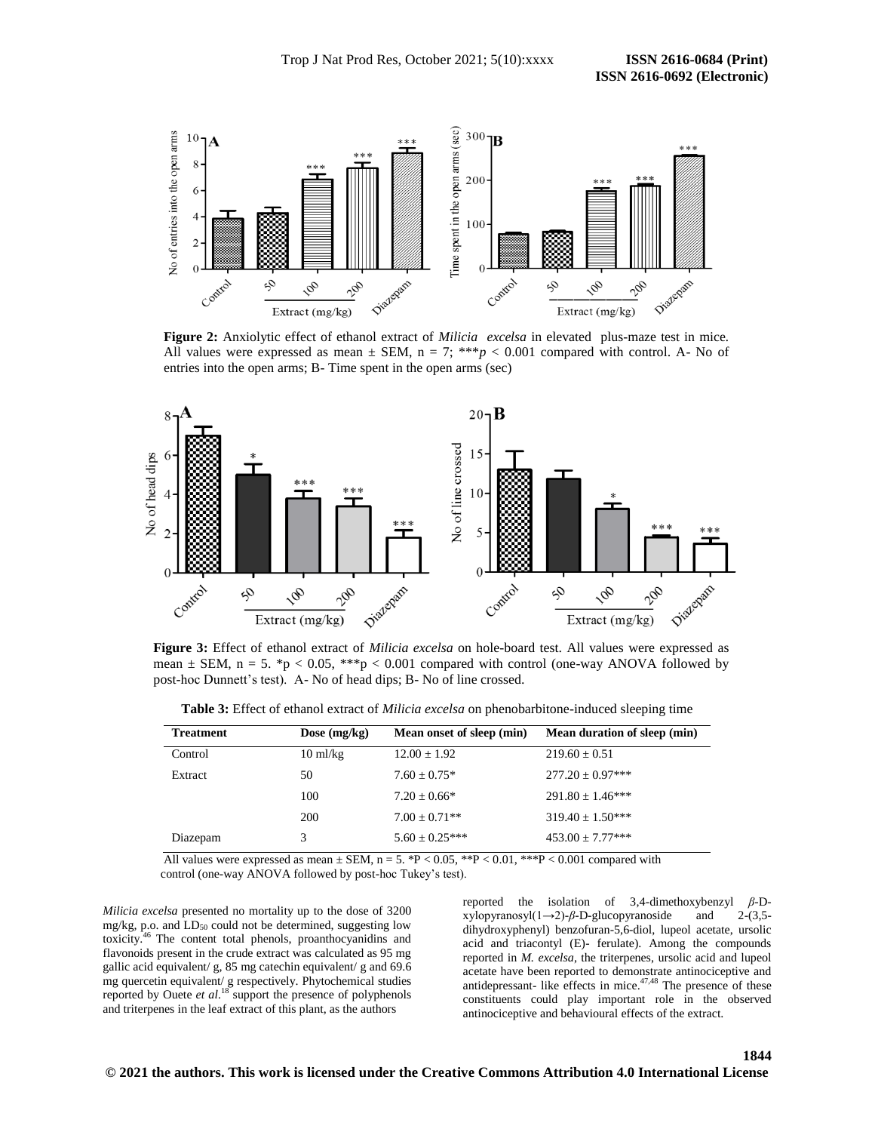

**Figure 2:** Anxiolytic effect of ethanol extract of *Milicia excelsa* in elevated plus-maze test in mice*.*  All values were expressed as mean  $\pm$  SEM, n = 7; \*\*\*  $p < 0.001$  compared with control. A- No of entries into the open arms; B- Time spent in the open arms (sec)



**Figure 3:** Effect of ethanol extract of *Milicia excelsa* on hole-board test. All values were expressed as mean  $\pm$  SEM, n = 5. \*p < 0.05, \*\*\*p < 0.001 compared with control (one-way ANOVA followed by post-hoc Dunnett's test). A- No of head dips; B- No of line crossed.

**Table 3:** Effect of ethanol extract of *Milicia excelsa* on phenobarbitone-induced sleeping time

| <b>Treatment</b> | Dose $(mg/kg)$     | Mean onset of sleep (min) | Mean duration of sleep (min) |
|------------------|--------------------|---------------------------|------------------------------|
| Control          | $10 \text{ ml/kg}$ | $12.00 \pm 1.92$          | $219.60 \pm 0.51$            |
| Extract          | 50                 | $7.60 \pm 0.75*$          | $277.20 \pm 0.97***$         |
|                  | 100                | $7.20 \pm 0.66*$          | $291.80 \pm 1.46***$         |
|                  | 200                | $7.00 + 0.71**$           | $319.40 \pm 1.50***$         |
| Diazepam         |                    | $5.60 \pm 0.25***$        | $453.00 \pm 7.77***$         |

All values were expressed as mean  $\pm$  SEM, n = 5. \*P < 0.05, \*\*P < 0.01, \*\*\*P < 0.001 compared with control (one-way ANOVA followed by post-hoc Tukey's test).

*Milicia excelsa* presented no mortality up to the dose of 3200 mg/kg, p.o. and  $LD_{50}$  could not be determined, suggesting low toxicity.<sup>46</sup> The content total phenols, proanthocyanidins and flavonoids present in the crude extract was calculated as 95 mg gallic acid equivalent/ g, 85 mg catechin equivalent/ g and 69.6 mg quercetin equivalent/ g respectively. Phytochemical studies reported by Ouete *et al*. <sup>18</sup> support the presence of polyphenols and triterpenes in the leaf extract of this plant, as the authors

reported the isolation of 3,4-dimethoxybenzyl *β*-Dxylopyranosyl(1→2)-*β*-D-glucopyranoside and 2-(3,5 dihydroxyphenyl) benzofuran-5,6-diol, lupeol acetate, ursolic acid and triacontyl (E)- ferulate). Among the compounds reported in *M. excelsa*, the triterpenes, ursolic acid and lupeol acetate have been reported to demonstrate antinociceptive and antidepressant- like effects in mice. $47,48$  The presence of these constituents could play important role in the observed antinociceptive and behavioural effects of the extract.

### **1844**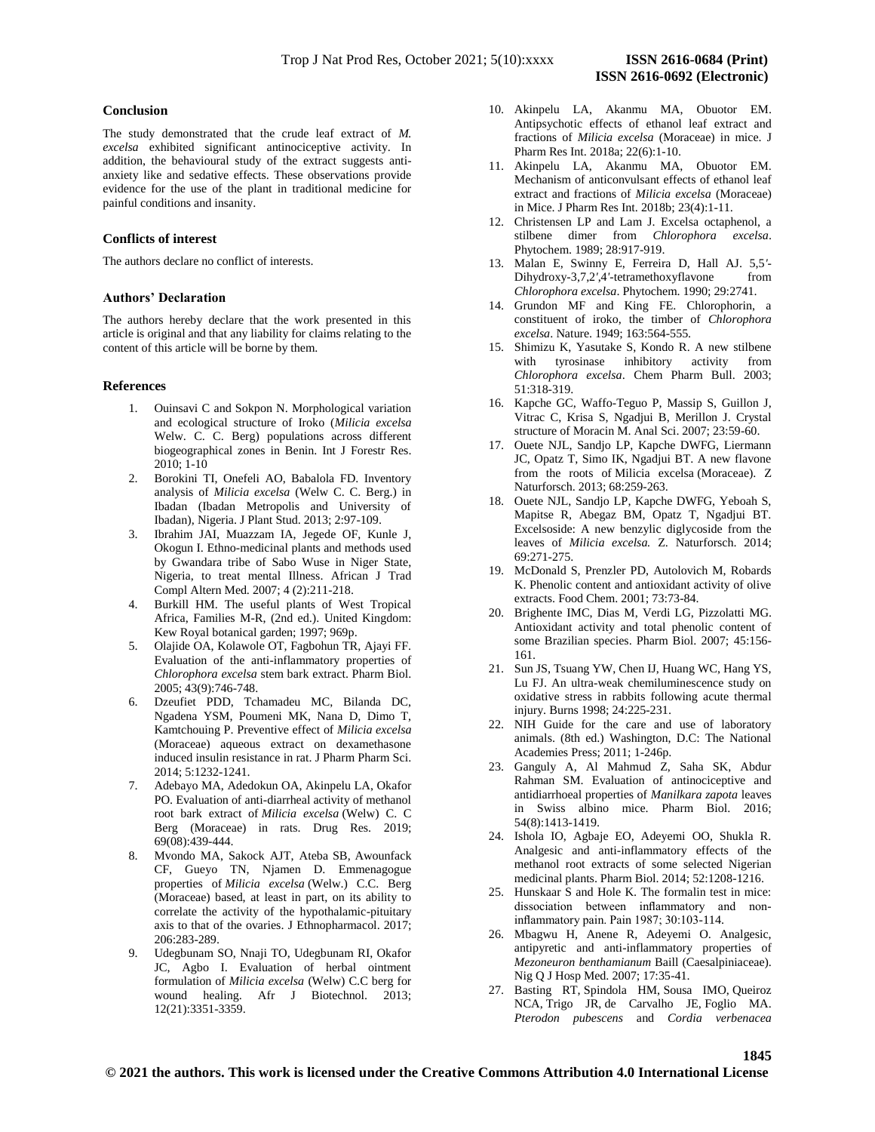## **Conclusion**

The study demonstrated that the crude leaf extract of *M. excelsa* exhibited significant antinociceptive activity. In addition, the behavioural study of the extract suggests antianxiety like and sedative effects. These observations provide evidence for the use of the plant in traditional medicine for painful conditions and insanity.

# **Conflicts of interest**

The authors declare no conflict of interests.

## **Authors' Declaration**

The authors hereby declare that the work presented in this article is original and that any liability for claims relating to the content of this article will be borne by them.

# **References**

- 1. Ouinsavi C and Sokpon N. Morphological variation and ecological structure of Iroko (*Milicia excelsa*  Welw. C. C. Berg) populations across different biogeographical zones in Benin. Int J Forestr Res. 2010; 1-10
- 2. Borokini TI, Onefeli AO, Babalola FD. Inventory analysis of *Milicia excelsa* (Welw C. C. Berg.) in Ibadan (Ibadan Metropolis and University of Ibadan), Nigeria. J Plant Stud. 2013; 2:97-109.
- 3. Ibrahim JAI, Muazzam IA, Jegede OF, Kunle J, Okogun I. Ethno-medicinal plants and methods used by Gwandara tribe of Sabo Wuse in Niger State, Nigeria, to treat mental Illness. African J Trad Compl Altern Med. 2007; 4 (2):211-218.
- 4. Burkill HM. The useful plants of West Tropical Africa, Families M-R, (2nd ed.). United Kingdom: Kew Royal botanical garden; 1997; 969p.
- 5. Olajide OA, Kolawole OT, Fagbohun TR, Ajayi FF. Evaluation of the anti-inflammatory properties of *Chlorophora excelsa* stem bark extract. Pharm Biol. 2005; 43(9):746-748.
- 6. Dzeufiet PDD, Tchamadeu MC, Bilanda DC, Ngadena YSM, Poumeni MK, Nana D, Dimo T, Kamtchouing P. Preventive effect of *Milicia excelsa* (Moraceae) aqueous extract on dexamethasone induced insulin resistance in rat. J Pharm Pharm Sci. 2014; 5:1232-1241.
- 7. Adebayo MA, Adedokun OA, Akinpelu LA, Okafor PO. Evaluation of anti-diarrheal activity of methanol root bark extract of *Milicia excelsa* (Welw) C. C Berg (Moraceae) in rats. Drug Res. 2019; 69(08):439-444.
- 8. Mvondo MA, Sakock AJT, Ateba SB, Awounfack CF, Gueyo TN, Njamen D. Emmenagogue properties of *Milicia excelsa* (Welw.) C.C. Berg (Moraceae) based, at least in part, on its ability to correlate the activity of the hypothalamic-pituitary axis to that of the ovaries. J Ethnopharmacol. 2017; 206:283-289.
- 9. Udegbunam SO, Nnaji TO, Udegbunam RI, Okafor JC, Agbo I. Evaluation of herbal ointment formulation of *Milicia excelsa* (Welw) C.C berg for wound healing. Afr J Biotechnol. 2013; 12(21):3351-3359.
- 10. Akinpelu LA, Akanmu MA, Obuotor EM. Antipsychotic effects of ethanol leaf extract and fractions of *Milicia excelsa* (Moraceae) in mice. J Pharm Res Int. 2018a; 22(6):1-10.
- 11. Akinpelu LA, Akanmu MA, Obuotor EM. Mechanism of anticonvulsant effects of ethanol leaf extract and fractions of *Milicia excelsa* (Moraceae) in Mice. J Pharm Res Int. 2018b; 23(4):1-11.
- 12. Christensen LP and Lam J. Excelsa octaphenol, a stilbene dimer from *Chlorophora excelsa*. Phytochem. 1989; 28:917-919.
- 13. Malan E, Swinny E, Ferreira D, Hall AJ. 5,5*'* Dihydroxy-3,7,2*'*,4*'*-tetramethoxyflavone from *Chlorophora excelsa*. Phytochem. 1990; 29:2741.
- 14. Grundon MF and King FE. Chlorophorin, a constituent of iroko, the timber of *Chlorophora excelsa*. Nature. 1949; 163:564-555.
- 15. Shimizu K, Yasutake S, Kondo R. A new stilbene with tyrosinase inhibitory activity from *Chlorophora excelsa*. Chem Pharm Bull. 2003; 51:318-319.
- 16. Kapche GC, Waffo-Teguo P, Massip S, Guillon J, Vitrac C, Krisa S, Ngadjui B, Merillon J. Crystal structure of Moracin M. Anal Sci. 2007; 23:59-60.
- 17. Ouete NJL, Sandjo LP, Kapche DWFG, Liermann JC, Opatz T, Simo IK, Ngadjui BT. A new flavone from the roots of Milicia excelsa (Moraceae). Z Naturforsch. 2013; 68:259-263.
- 18. Ouete NJL, Sandjo LP, Kapche DWFG, Yeboah S, Mapitse R, Abegaz BM, Opatz T, Ngadjui BT. Excelsoside: A new benzylic diglycoside from the leaves of *Milicia excelsa.* Z. Naturforsch. 2014; 69:271-275.
- 19. McDonald S, Prenzler PD, Autolovich M, Robards K. Phenolic content and antioxidant activity of olive extracts. Food Chem. 2001; 73:73-84.
- 20. Brighente IMC, Dias M, Verdi LG, Pizzolatti MG. Antioxidant activity and total phenolic content of some Brazilian species. Pharm Biol. 2007; 45:156- 161.
- 21. Sun JS, Tsuang YW, Chen IJ, Huang WC, Hang YS, Lu FJ. An ultra-weak chemiluminescence study on oxidative stress in rabbits following acute thermal injury. Burns 1998; 24:225-231.
- 22. NIH Guide for the care and use of laboratory animals. (8th ed.) Washington, D.C: The National Academies Press; 2011; 1-246p.
- 23. Ganguly A, Al Mahmud Z, Saha SK, Abdur Rahman SM. Evaluation of antinociceptive and antidiarrhoeal properties of *Manilkara zapota* leaves in Swiss albino mice. Pharm Biol. 2016; 54(8):1413-1419.
- 24. Ishola IO, Agbaje EO, Adeyemi OO, Shukla R. Analgesic and anti-inflammatory effects of the methanol root extracts of some selected Nigerian medicinal plants. Pharm Biol. 2014; 52:1208-1216.
- 25. Hunskaar S and Hole K. The formalin test in mice: dissociation between inflammatory and noninflammatory pain. Pain 1987; 30:103-114.
- 26. Mbagwu H, Anene R, Adeyemi O. Analgesic, antipyretic and anti-inflammatory properties of *Mezoneuron benthamianum* Baill (Caesalpiniaceae). Nig Q J Hosp Med. 2007; 17:35-41.
- 27. Basting RT, Spindola HM, Sousa IMO, Queiroz NCA, Trigo JR, de Carvalho JE, Foglio MA. *Pterodon pubescens* and *Cordia verbenacea*

**1845**